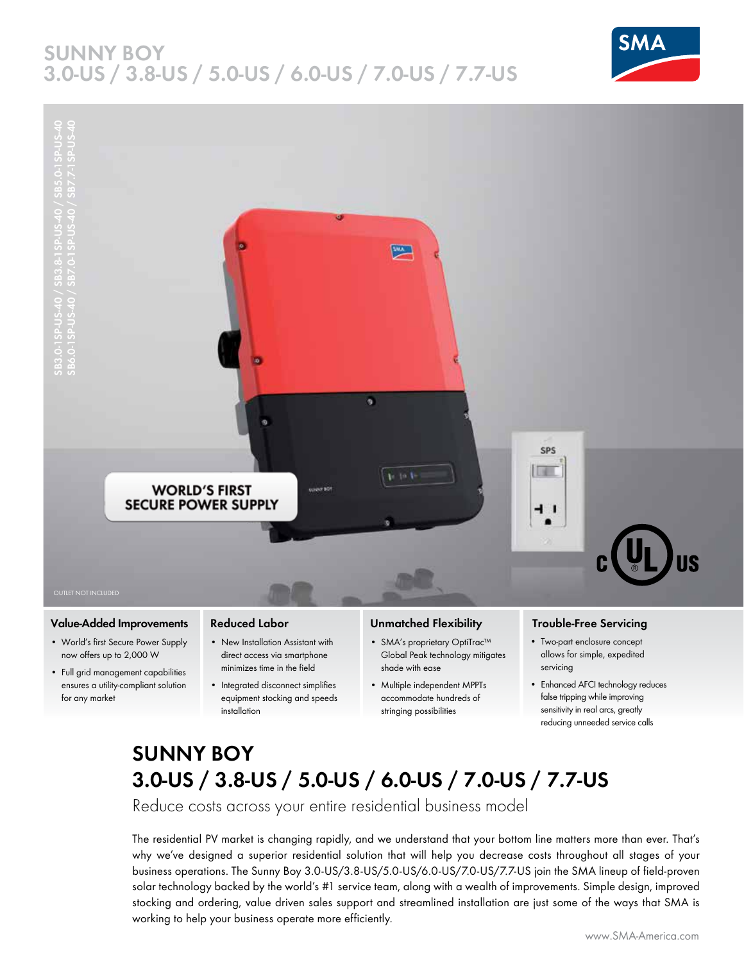# **SUNNY BOY 3.0-US / 3.8-US / 5.0-US / 6.0-US / 7.0-US / 7.7-US**





### **Value-Added Improvements**

- World's first Secure Power Supply now offers up to 2,000 W
- Full grid management capabilities ensures a utility-compliant solution for any market

### **Reduced Labor**

- New Installation Assistant with direct access via smartphone minimizes time in the field
- Integrated disconnect simplifies equipment stocking and speeds installation

#### **Unmatched Flexibility**

- SMA's proprietary OptiTrac™ Global Peak technology mitigates shade with ease
- Multiple independent MPPTs accommodate hundreds of stringing possibilities

### **Trouble-Free Servicing**

- Two-part enclosure concept allows for simple, expedited servicing
- Enhanced AFCI technology reduces false tripping while improving sensitivity in real arcs, greatly reducing unneeded service calls

# **SUNNY BOY 3.0-US / 3.8-US / 5.0-US / 6.0-US / 7.0-US / 7.7-US**

Reduce costs across your entire residential business model

The residential PV market is changing rapidly, and we understand that your bottom line matters more than ever. That's why we've designed a superior residential solution that will help you decrease costs throughout all stages of your business operations. The Sunny Boy 3.0-US/3.8-US/5.0-US/6.0-US/7.0-US/7.7-US join the SMA lineup of field-proven solar technology backed by the world's #1 service team, along with a wealth of improvements. Simple design, improved stocking and ordering, value driven sales support and streamlined installation are just some of the ways that SMA is working to help your business operate more efficiently.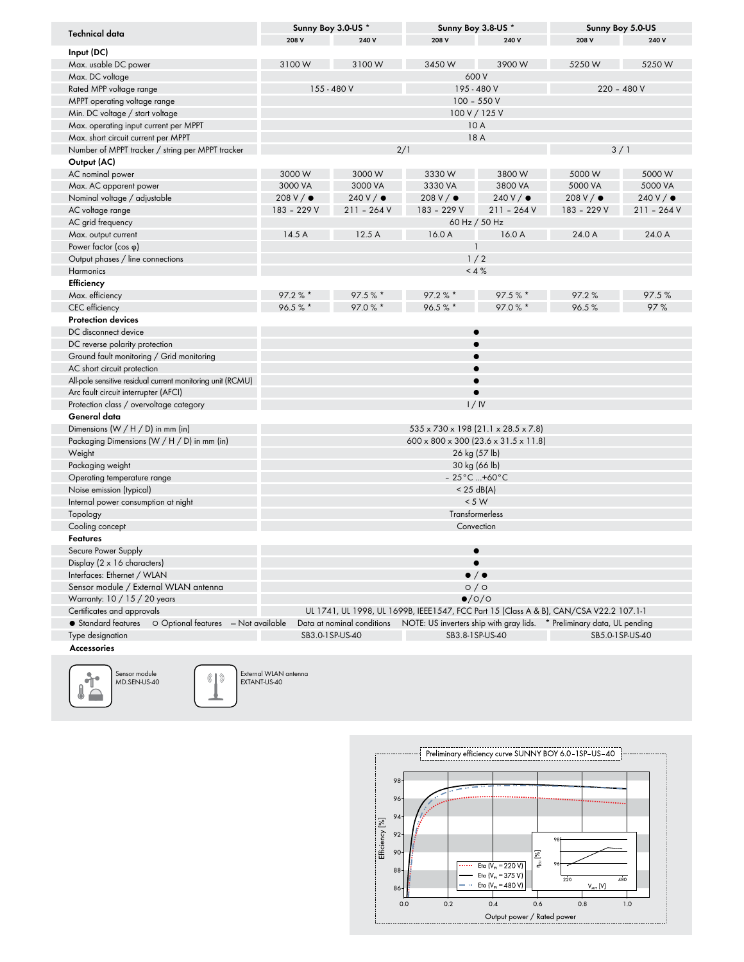| Technical data                                             | Sunny Boy 3.0-US *                                                                                     |                            |                   | Sunny Boy 3.8-US * |                   | Sunny Boy 5.0-US  |  |  |  |
|------------------------------------------------------------|--------------------------------------------------------------------------------------------------------|----------------------------|-------------------|--------------------|-------------------|-------------------|--|--|--|
|                                                            | 208 V                                                                                                  | 240 V                      | 208 V             | 240 V              | 208 V             | 240 V             |  |  |  |
| Input (DC)                                                 |                                                                                                        |                            |                   |                    |                   |                   |  |  |  |
| Max. usable DC power                                       | 3100W                                                                                                  | 3100 W                     | 3450W             | 3900W              | 5250W             | 5250W             |  |  |  |
| Max. DC voltage                                            | 600 V                                                                                                  |                            |                   |                    |                   |                   |  |  |  |
| Rated MPP voltage range                                    |                                                                                                        | 155 - 480 V<br>195 - 480 V |                   |                    | $220 - 480V$      |                   |  |  |  |
| MPPT operating voltage range                               | $100 - 550V$                                                                                           |                            |                   |                    |                   |                   |  |  |  |
| Min. DC voltage / start voltage                            | 100 V / 125 V                                                                                          |                            |                   |                    |                   |                   |  |  |  |
| Max. operating input current per MPPT                      | 10 A                                                                                                   |                            |                   |                    |                   |                   |  |  |  |
| Max. short circuit current per MPPT                        | 18 A                                                                                                   |                            |                   |                    |                   |                   |  |  |  |
| Number of MPPT tracker / string per MPPT tracker           | 2/1<br>3/1                                                                                             |                            |                   |                    |                   |                   |  |  |  |
| Output (AC)                                                |                                                                                                        |                            |                   |                    |                   |                   |  |  |  |
| AC nominal power                                           | 3000 W                                                                                                 | 3000W                      | 3330W             | 3800W              | 5000 W            | 5000 W            |  |  |  |
| Max. AC apparent power                                     | 3000 VA                                                                                                | 3000 VA                    | 3330 VA           | 3800 VA            | 5000 VA           | 5000 VA           |  |  |  |
| Nominal voltage / adjustable                               | $208 V / \bullet$                                                                                      | 240V/                      | $208 V / \bullet$ | 240V/              | 208 V / $\bullet$ | $240 V / \bullet$ |  |  |  |
| AC voltage range                                           | 183 - 229 V                                                                                            | $211 - 264V$               | 183 - 229 V       | $211 - 264V$       | 183 - 229 V       | $211 - 264V$      |  |  |  |
| AC grid frequency                                          | 60 Hz / 50 Hz                                                                                          |                            |                   |                    |                   |                   |  |  |  |
| Max. output current                                        | 14.5A<br>12.5 A<br>16.0 A<br>16.0 A<br>24.0 A<br>24.0 A                                                |                            |                   |                    |                   |                   |  |  |  |
| Power factor $(cos \phi)$                                  | 1                                                                                                      |                            |                   |                    |                   |                   |  |  |  |
| Output phases / line connections                           | 1/2                                                                                                    |                            |                   |                    |                   |                   |  |  |  |
| Harmonics                                                  | $< 4 \%$                                                                                               |                            |                   |                    |                   |                   |  |  |  |
| Efficiency                                                 |                                                                                                        |                            |                   |                    |                   |                   |  |  |  |
| Max. efficiency                                            | $97.2 \%$                                                                                              | 97.5%                      | $97.2 \%$         | 97.5%              | 97.2%             | 97.5%             |  |  |  |
| CEC efficiency                                             | 96.5%*                                                                                                 | 97.0 % *                   | 96.5%             | 97.0 % *           | 96.5%             | 97%               |  |  |  |
| <b>Protection devices</b>                                  |                                                                                                        |                            |                   |                    |                   |                   |  |  |  |
| DC disconnect device                                       |                                                                                                        |                            | $\bullet$         |                    |                   |                   |  |  |  |
| DC reverse polarity protection                             |                                                                                                        |                            |                   |                    |                   |                   |  |  |  |
| Ground fault monitoring / Grid monitoring                  |                                                                                                        |                            |                   |                    |                   |                   |  |  |  |
| AC short circuit protection                                |                                                                                                        |                            |                   |                    |                   |                   |  |  |  |
| All-pole sensitive residual current monitoring unit (RCMU) |                                                                                                        |                            |                   |                    |                   |                   |  |  |  |
| Arc fault circuit interrupter (AFCI)                       |                                                                                                        |                            |                   |                    |                   |                   |  |  |  |
| Protection class / overvoltage category                    | 1/N                                                                                                    |                            |                   |                    |                   |                   |  |  |  |
| General data                                               |                                                                                                        |                            |                   |                    |                   |                   |  |  |  |
| Dimensions (W / H / D) in mm (in)                          | $535 \times 730 \times 198$ (21.1 $\times$ 28.5 $\times$ 7.8)                                          |                            |                   |                    |                   |                   |  |  |  |
| Packaging Dimensions (W / H / D) in mm (in)                | $600 \times 800 \times 300$ (23.6 $\times$ 31.5 $\times$ 11.8)                                         |                            |                   |                    |                   |                   |  |  |  |
| Weight                                                     | 26 kg (57 lb)                                                                                          |                            |                   |                    |                   |                   |  |  |  |
| Packaging weight                                           | 30 kg (66 lb)                                                                                          |                            |                   |                    |                   |                   |  |  |  |
| Operating temperature range                                | $-25^{\circ}$ C  +60 $^{\circ}$ C                                                                      |                            |                   |                    |                   |                   |  |  |  |
| Noise emission (typical)                                   | $<$ 25 dB(A)                                                                                           |                            |                   |                    |                   |                   |  |  |  |
| Internal power consumption at night                        | < 5 W                                                                                                  |                            |                   |                    |                   |                   |  |  |  |
| Topology                                                   | Transformerless                                                                                        |                            |                   |                    |                   |                   |  |  |  |
| Cooling concept                                            | Convection                                                                                             |                            |                   |                    |                   |                   |  |  |  |
| <b>Features</b>                                            |                                                                                                        |                            |                   |                    |                   |                   |  |  |  |
| Secure Power Supply                                        |                                                                                                        |                            | $\bullet$         |                    |                   |                   |  |  |  |
| Display $(2 \times 16$ characters)                         |                                                                                                        |                            |                   |                    |                   |                   |  |  |  |
| Interfaces: Ethernet / WLAN                                | $\bullet$ / $\bullet$                                                                                  |                            |                   |                    |                   |                   |  |  |  |
| Sensor module / External WLAN antenna                      | O/O                                                                                                    |                            |                   |                    |                   |                   |  |  |  |
| Warranty: 10 / 15 / 20 years                               | $\bullet$ /0/0                                                                                         |                            |                   |                    |                   |                   |  |  |  |
| Certificates and approvals                                 | UL 1741, UL 1998, UL 1699B, IEEE1547, FCC Part 15 (Class A & B), CAN/CSA V22.2 107.1-1                 |                            |                   |                    |                   |                   |  |  |  |
| • Standard features<br>O Optional features - Not available | Data at nominal conditions   NOTE: US inverters ship with gray lids.<br>* Preliminary data, UL pending |                            |                   |                    |                   |                   |  |  |  |
| Type designation                                           | SB3.0-1SP-US-40<br>SB3.8-1SP-US-40<br>SB5.0-1SP-US-40                                                  |                            |                   |                    |                   |                   |  |  |  |
| Accessories                                                |                                                                                                        |                            |                   |                    |                   |                   |  |  |  |



 $(\hspace{-1.5pt}\langle\hspace{-1.5pt}\langle\hspace{-1.5pt}\langle\hspace{-1.5pt}\rangle\hspace{-1.5pt}\rangle$ External WLAN antenna EXTANT-US-40

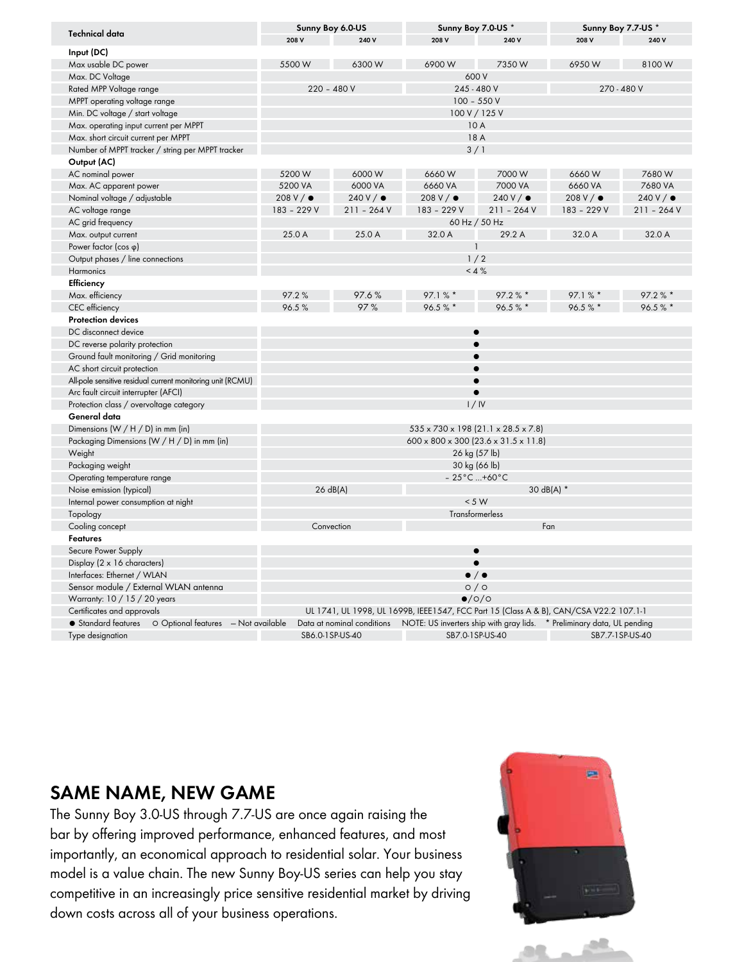| <b>Technical data</b>                                              | Sunny Boy 6.0-US                                                                       |              | Sunny Boy 7.0-US * |              | Sunny Boy 7.7-US *                                                                                |              |  |  |  |
|--------------------------------------------------------------------|----------------------------------------------------------------------------------------|--------------|--------------------|--------------|---------------------------------------------------------------------------------------------------|--------------|--|--|--|
|                                                                    | 208 V                                                                                  | 240 V        | 208 V              | 240 V        | 208 V                                                                                             | 240 V        |  |  |  |
| Input (DC)                                                         |                                                                                        |              |                    |              |                                                                                                   |              |  |  |  |
| Max usable DC power                                                | 5500 W                                                                                 | 6300W        | 6900W              | 7350W        | 6950W                                                                                             | 8100W        |  |  |  |
| Max. DC Voltage                                                    | 600 V                                                                                  |              |                    |              |                                                                                                   |              |  |  |  |
| Rated MPP Voltage range                                            |                                                                                        | $220 - 480V$ |                    | 245 - 480 V  |                                                                                                   | 270 - 480 V  |  |  |  |
| MPPT operating voltage range                                       | $100 - 550V$                                                                           |              |                    |              |                                                                                                   |              |  |  |  |
| Min. DC voltage / start voltage                                    | 100 V / 125 V                                                                          |              |                    |              |                                                                                                   |              |  |  |  |
| Max. operating input current per MPPT                              | 10 A                                                                                   |              |                    |              |                                                                                                   |              |  |  |  |
| Max. short circuit current per MPPT                                | 18 A                                                                                   |              |                    |              |                                                                                                   |              |  |  |  |
| Number of MPPT tracker / string per MPPT tracker                   | 3/1                                                                                    |              |                    |              |                                                                                                   |              |  |  |  |
| Output (AC)                                                        |                                                                                        |              |                    |              |                                                                                                   |              |  |  |  |
| AC nominal power                                                   | 5200 W                                                                                 | 6000W        | 6660W              | 7000 W       | 6660W                                                                                             | 7680 W       |  |  |  |
| Max. AC apparent power                                             | 5200 VA                                                                                | 6000 VA      | 6660 VA            | 7000 VA      | 6660 VA                                                                                           | 7680 VA      |  |  |  |
| Nominal voltage / adjustable                                       | $208 V / \bullet$                                                                      | 240V/        | $208 V / \bullet$  | 240V/        | $208 V / \bullet$                                                                                 | 240V/        |  |  |  |
| AC voltage range                                                   | 183 - 229 V                                                                            | $211 - 264V$ | 183 - 229 V        | $211 - 264V$ | 183 - 229 V                                                                                       | $211 - 264V$ |  |  |  |
| AC grid frequency                                                  | 60 Hz / 50 Hz                                                                          |              |                    |              |                                                                                                   |              |  |  |  |
| Max. output current                                                | 25.0 A                                                                                 | 25.0 A       | 32.0 A             | 29.2 A       | 32.0 A                                                                                            | 32.0 A       |  |  |  |
| Power factor (cos q)                                               |                                                                                        |              |                    |              |                                                                                                   |              |  |  |  |
| Output phases / line connections                                   | 1/2                                                                                    |              |                    |              |                                                                                                   |              |  |  |  |
| Harmonics                                                          | $< 4 \%$                                                                               |              |                    |              |                                                                                                   |              |  |  |  |
| Efficiency                                                         |                                                                                        |              |                    |              |                                                                                                   |              |  |  |  |
| Max. efficiency                                                    | 97.2%                                                                                  | 97.6%        | 97.1%              | 97.2%        | 97.1%                                                                                             | $97.2 \%$    |  |  |  |
| CEC efficiency                                                     | 96.5%                                                                                  | 97%          | 96.5%*             | 96.5%        | 96.5%                                                                                             | 96.5%        |  |  |  |
| <b>Protection devices</b>                                          |                                                                                        |              |                    |              |                                                                                                   |              |  |  |  |
| DC disconnect device                                               | $\bullet$                                                                              |              |                    |              |                                                                                                   |              |  |  |  |
| DC reverse polarity protection                                     |                                                                                        |              |                    |              |                                                                                                   |              |  |  |  |
| Ground fault monitoring / Grid monitoring                          |                                                                                        |              |                    |              |                                                                                                   |              |  |  |  |
| AC short circuit protection                                        |                                                                                        |              |                    |              |                                                                                                   |              |  |  |  |
| All-pole sensitive residual current monitoring unit (RCMU)         |                                                                                        |              |                    |              |                                                                                                   |              |  |  |  |
| Arc fault circuit interrupter (AFCI)                               |                                                                                        |              |                    |              |                                                                                                   |              |  |  |  |
| Protection class / overvoltage category                            | 1/N                                                                                    |              |                    |              |                                                                                                   |              |  |  |  |
| General data                                                       |                                                                                        |              |                    |              |                                                                                                   |              |  |  |  |
| Dimensions (W / H / D) in mm (in)                                  | $535 \times 730 \times 198$ (21.1 $\times$ 28.5 $\times$ 7.8)                          |              |                    |              |                                                                                                   |              |  |  |  |
| Packaging Dimensions (W / H / D) in mm (in)                        | $600 \times 800 \times 300$ (23.6 $\times$ 31.5 $\times$ 11.8)                         |              |                    |              |                                                                                                   |              |  |  |  |
| Weight                                                             | 26 kg (57 lb)                                                                          |              |                    |              |                                                                                                   |              |  |  |  |
| Packaging weight                                                   | 30 kg (66 lb)                                                                          |              |                    |              |                                                                                                   |              |  |  |  |
| Operating temperature range                                        | $-25^{\circ}$ C +60 $^{\circ}$ C                                                       |              |                    |              |                                                                                                   |              |  |  |  |
| Noise emission (typical)                                           |                                                                                        | 26 dB(A)     | 30 dB(A) *         |              |                                                                                                   |              |  |  |  |
| Internal power consumption at night                                |                                                                                        |              | < 5 W              |              |                                                                                                   |              |  |  |  |
| Topology                                                           |                                                                                        |              | Transformerless    |              |                                                                                                   |              |  |  |  |
| Cooling concept                                                    |                                                                                        | Convection   | Fan                |              |                                                                                                   |              |  |  |  |
| <b>Features</b>                                                    |                                                                                        |              |                    |              |                                                                                                   |              |  |  |  |
| Secure Power Supply                                                |                                                                                        |              | $\bullet$          |              |                                                                                                   |              |  |  |  |
| Display ( $2 \times 16$ characters)                                |                                                                                        |              |                    |              |                                                                                                   |              |  |  |  |
| Interfaces: Ethernet / WLAN                                        | $\bullet$ / $\bullet$                                                                  |              |                    |              |                                                                                                   |              |  |  |  |
| Sensor module / External WLAN antenna                              | O/O                                                                                    |              |                    |              |                                                                                                   |              |  |  |  |
| Warranty: 10 / 15 / 20 years                                       | $\bullet$ /0/0                                                                         |              |                    |              |                                                                                                   |              |  |  |  |
| Certificates and approvals                                         | UL 1741, UL 1998, UL 1699B, IEEE1547, FCC Part 15 (Class A & B), CAN/CSA V22.2 107.1-1 |              |                    |              |                                                                                                   |              |  |  |  |
| O Optional features - Not available<br>$\bullet$ Standard features |                                                                                        |              |                    |              | Data at nominal conditions NOTE: US inverters ship with gray lids. * Preliminary data, UL pending |              |  |  |  |
| Type designation                                                   | SB6.0-1SP-US-40                                                                        |              | SB7.0-1SP-US-40    |              | SB7.7-1SP-US-40                                                                                   |              |  |  |  |

# **SAME NAME, NEW GAME**

The Sunny Boy 3.0-US through 7.7-US are once again raising the bar by offering improved performance, enhanced features, and most importantly, an economical approach to residential solar. Your business model is a value chain. The new Sunny Boy-US series can help you stay competitive in an increasingly price sensitive residential market by driving down costs across all of your business operations.